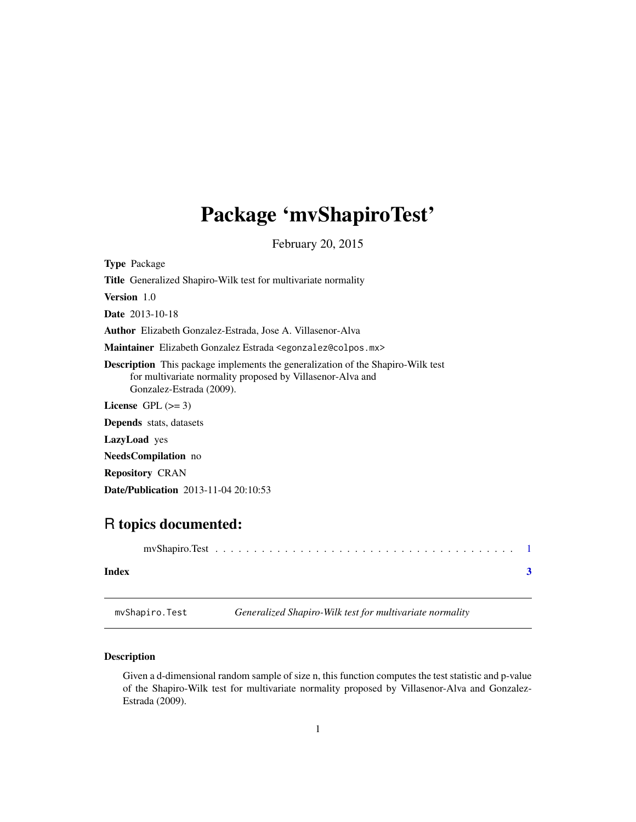## <span id="page-0-0"></span>Package 'mvShapiroTest'

February 20, 2015

<span id="page-0-1"></span>

| <b>Type</b> Package                                                                                                                                                              |  |  |
|----------------------------------------------------------------------------------------------------------------------------------------------------------------------------------|--|--|
| <b>Title</b> Generalized Shapiro-Wilk test for multivariate normality                                                                                                            |  |  |
| <b>Version</b> 1.0                                                                                                                                                               |  |  |
| <b>Date</b> 2013-10-18                                                                                                                                                           |  |  |
| <b>Author</b> Elizabeth Gonzalez-Estrada, Jose A. Villasenor-Alva                                                                                                                |  |  |
| <b>Maintainer</b> Elizabeth Gonzalez Estrada <egonzalez@colpos.mx></egonzalez@colpos.mx>                                                                                         |  |  |
| <b>Description</b> This package implements the generalization of the Shapiro-Wilk test<br>for multivariate normality proposed by Villasenor-Alva and<br>Gonzalez-Estrada (2009). |  |  |
| License $GPL (= 3)$                                                                                                                                                              |  |  |
| <b>Depends</b> stats, datasets                                                                                                                                                   |  |  |
| <b>LazyLoad</b> yes                                                                                                                                                              |  |  |
| <b>NeedsCompilation</b> no                                                                                                                                                       |  |  |
| <b>Repository CRAN</b>                                                                                                                                                           |  |  |
| <b>Date/Publication</b> 2013-11-04 20:10:53                                                                                                                                      |  |  |

### R topics documented:

| Index |  |
|-------|--|
|       |  |

mvShapiro.Test *Generalized Shapiro-Wilk test for multivariate normality*

#### Description

Given a d-dimensional random sample of size n, this function computes the test statistic and p-value of the Shapiro-Wilk test for multivariate normality proposed by Villasenor-Alva and Gonzalez-Estrada (2009).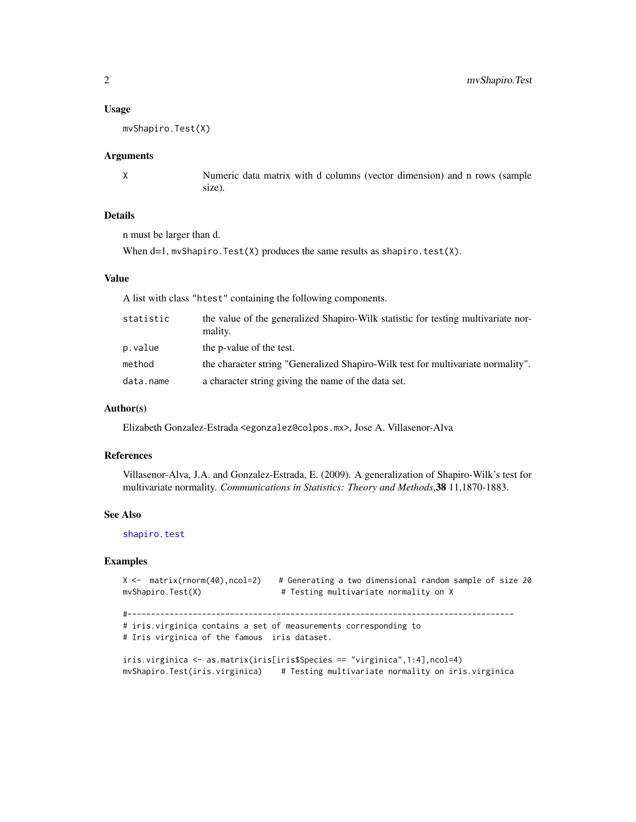#### <span id="page-1-0"></span>Usage

```
mvShapiro.Test(X)
```
#### Arguments

X Numeric data matrix with d columns (vector dimension) and n rows (sample size).

#### Details

n must be larger than d.

When  $d=1$ , mvShapiro. Test(X) produces the same results as shapiro. test(X).

#### Value

A list with class "htest" containing the following components.

| statistic | the value of the generalized Shapiro-Wilk statistic for testing multivariate nor-<br>mality. |
|-----------|----------------------------------------------------------------------------------------------|
| p.value   | the p-value of the test.                                                                     |
| method    | the character string "Generalized Shapiro-Wilk test for multivariate normality".             |
| data.name | a character string giving the name of the data set.                                          |

#### Author(s)

Elizabeth Gonzalez-Estrada <egonzalez@colpos.mx>, Jose A. Villasenor-Alva

#### References

Villasenor-Alva, J.A. and Gonzalez-Estrada, E. (2009). A generalization of Shapiro-Wilk's test for multivariate normality. *Communications in Statistics: Theory and Methods*,38 11,1870-1883.

#### See Also

[shapiro.test](#page-0-1)

#### Examples

```
X <- matrix(rnorm(40),ncol=2) # Generating a two dimensional random sample of size 20
mvShapiro.Test(X) # Testing multivariate normality on X
#-----------------------------------------------------------------------------------
# iris.virginica contains a set of measurements corresponding to
# Iris virginica of the famous iris dataset.
iris.virginica <- as.matrix(iris[iris$Species == "virginica",1:4],ncol=4)
mvShapiro.Test(iris.virginica) # Testing multivariate normality on iris.virginica
```